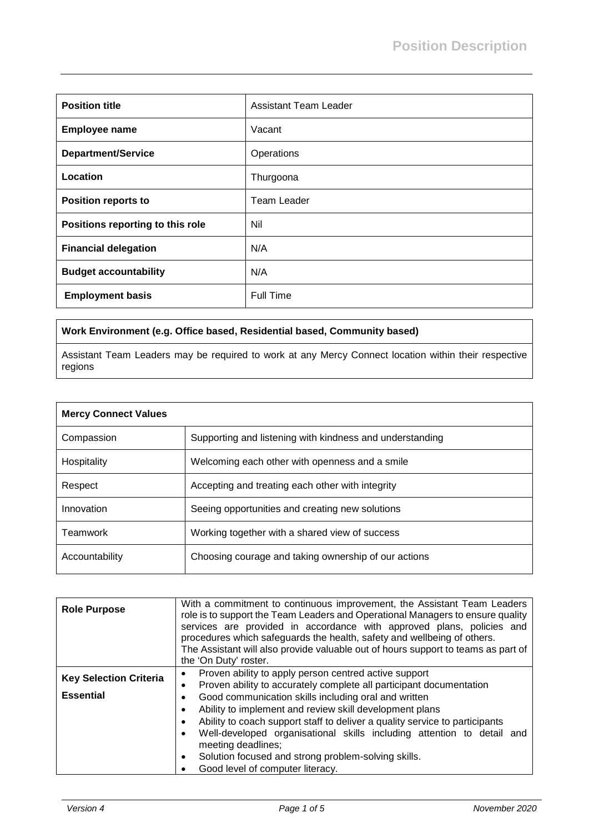| <b>Position title</b>            | <b>Assistant Team Leader</b> |
|----------------------------------|------------------------------|
| <b>Employee name</b>             | Vacant                       |
| <b>Department/Service</b>        | Operations                   |
| Location                         | Thurgoona                    |
| <b>Position reports to</b>       | Team Leader                  |
| Positions reporting to this role | Nil                          |
| <b>Financial delegation</b>      | N/A                          |
| <b>Budget accountability</b>     | N/A                          |
| <b>Employment basis</b>          | Full Time                    |

## **Work Environment (e.g. Office based, Residential based, Community based)**

Assistant Team Leaders may be required to work at any Mercy Connect location within their respective regions

| <b>Mercy Connect Values</b> |                                                          |
|-----------------------------|----------------------------------------------------------|
| Compassion                  | Supporting and listening with kindness and understanding |
| Hospitality                 | Welcoming each other with openness and a smile           |
| Respect                     | Accepting and treating each other with integrity         |
| Innovation                  | Seeing opportunities and creating new solutions          |
| Teamwork                    | Working together with a shared view of success           |
| Accountability              | Choosing courage and taking ownership of our actions     |

| <b>Role Purpose</b>           | With a commitment to continuous improvement, the Assistant Team Leaders<br>role is to support the Team Leaders and Operational Managers to ensure quality<br>services are provided in accordance with approved plans, policies and<br>procedures which safeguards the health, safety and wellbeing of others.<br>The Assistant will also provide valuable out of hours support to teams as part of<br>the 'On Duty' roster.           |
|-------------------------------|---------------------------------------------------------------------------------------------------------------------------------------------------------------------------------------------------------------------------------------------------------------------------------------------------------------------------------------------------------------------------------------------------------------------------------------|
| <b>Key Selection Criteria</b> | Proven ability to apply person centred active support<br>$\bullet$<br>Proven ability to accurately complete all participant documentation<br>$\bullet$                                                                                                                                                                                                                                                                                |
| <b>Essential</b>              | Good communication skills including oral and written<br>$\bullet$<br>Ability to implement and review skill development plans<br>$\bullet$<br>Ability to coach support staff to deliver a quality service to participants<br>Well-developed organisational skills including attention to detail and<br>$\bullet$<br>meeting deadlines;<br>Solution focused and strong problem-solving skills.<br>٠<br>Good level of computer literacy. |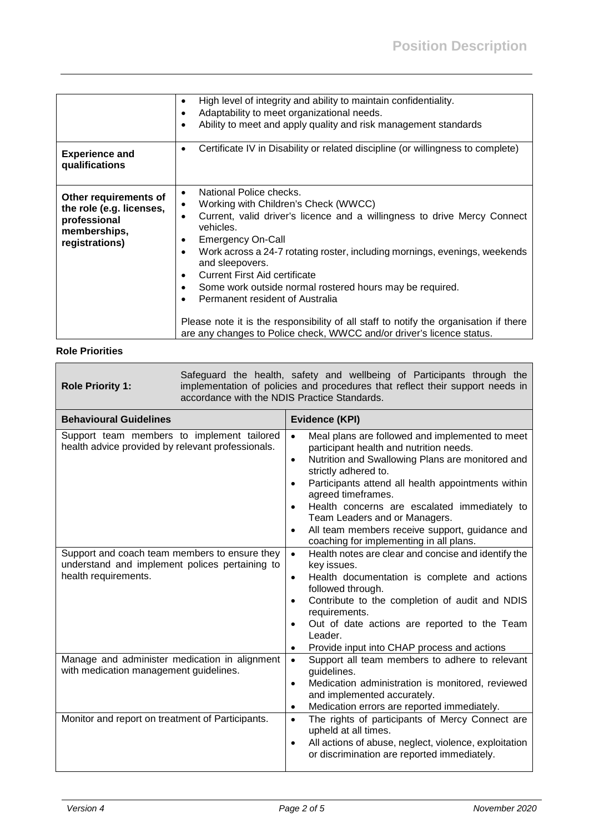|                                                          | High level of integrity and ability to maintain confidentiality.                                           |
|----------------------------------------------------------|------------------------------------------------------------------------------------------------------------|
|                                                          | Adaptability to meet organizational needs.<br>$\bullet$                                                    |
|                                                          | Ability to meet and apply quality and risk management standards<br>٠                                       |
|                                                          |                                                                                                            |
| <b>Experience and</b><br>qualifications                  | Certificate IV in Disability or related discipline (or willingness to complete)<br>$\bullet$               |
| Other requirements of                                    | National Police checks.<br>$\bullet$                                                                       |
|                                                          | Working with Children's Check (WWCC)<br>$\bullet$                                                          |
| the role (e.g. licenses,<br>professional<br>memberships, | Current, valid driver's licence and a willingness to drive Mercy Connect<br>$\bullet$<br>vehicles.         |
| registrations)                                           | <b>Emergency On-Call</b><br>$\bullet$                                                                      |
|                                                          | Work across a 24-7 rotating roster, including mornings, evenings, weekends<br>$\bullet$<br>and sleepovers. |
|                                                          | <b>Current First Aid certificate</b>                                                                       |
|                                                          | Some work outside normal rostered hours may be required.                                                   |
|                                                          | Permanent resident of Australia                                                                            |
|                                                          |                                                                                                            |
|                                                          | Please note it is the responsibility of all staff to notify the organisation if there                      |
|                                                          | are any changes to Police check, WWCC and/or driver's licence status.                                      |

## **Role Priorities**

| <b>Role Priority 1:</b>                                                                                                                                                                                                    | Safeguard the health, safety and wellbeing of Participants through the<br>implementation of policies and procedures that reflect their support needs in<br>accordance with the NDIS Practice Standards. |                                                                                                                                                                                                                                                                                                                                                                                                                                                                                                                                                                                                                                                                                                                                       |  |  |
|----------------------------------------------------------------------------------------------------------------------------------------------------------------------------------------------------------------------------|---------------------------------------------------------------------------------------------------------------------------------------------------------------------------------------------------------|---------------------------------------------------------------------------------------------------------------------------------------------------------------------------------------------------------------------------------------------------------------------------------------------------------------------------------------------------------------------------------------------------------------------------------------------------------------------------------------------------------------------------------------------------------------------------------------------------------------------------------------------------------------------------------------------------------------------------------------|--|--|
| <b>Behavioural Guidelines</b>                                                                                                                                                                                              |                                                                                                                                                                                                         | Evidence (KPI)                                                                                                                                                                                                                                                                                                                                                                                                                                                                                                                                                                                                                                                                                                                        |  |  |
| Support team members to implement tailored<br>health advice provided by relevant professionals.<br>Support and coach team members to ensure they<br>understand and implement polices pertaining to<br>health requirements. |                                                                                                                                                                                                         | Meal plans are followed and implemented to meet<br>$\bullet$<br>participant health and nutrition needs.<br>Nutrition and Swallowing Plans are monitored and<br>$\bullet$<br>strictly adhered to.<br>Participants attend all health appointments within<br>$\bullet$<br>agreed timeframes.<br>Health concerns are escalated immediately to<br>$\bullet$<br>Team Leaders and or Managers.<br>All team members receive support, guidance and<br>$\bullet$<br>coaching for implementing in all plans.<br>Health notes are clear and concise and identify the<br>$\bullet$<br>key issues.<br>Health documentation is complete and actions<br>$\bullet$<br>followed through.<br>Contribute to the completion of audit and NDIS<br>$\bullet$ |  |  |
|                                                                                                                                                                                                                            |                                                                                                                                                                                                         | requirements.<br>Out of date actions are reported to the Team<br>$\bullet$<br>Leader.<br>Provide input into CHAP process and actions<br>٠                                                                                                                                                                                                                                                                                                                                                                                                                                                                                                                                                                                             |  |  |
| Manage and administer medication in alignment<br>with medication management guidelines.                                                                                                                                    |                                                                                                                                                                                                         | Support all team members to adhere to relevant<br>$\bullet$<br>guidelines.<br>Medication administration is monitored, reviewed<br>$\bullet$<br>and implemented accurately.<br>Medication errors are reported immediately.<br>$\bullet$                                                                                                                                                                                                                                                                                                                                                                                                                                                                                                |  |  |
| Monitor and report on treatment of Participants.                                                                                                                                                                           |                                                                                                                                                                                                         | The rights of participants of Mercy Connect are<br>$\bullet$<br>upheld at all times.<br>All actions of abuse, neglect, violence, exploitation<br>$\bullet$<br>or discrimination are reported immediately.                                                                                                                                                                                                                                                                                                                                                                                                                                                                                                                             |  |  |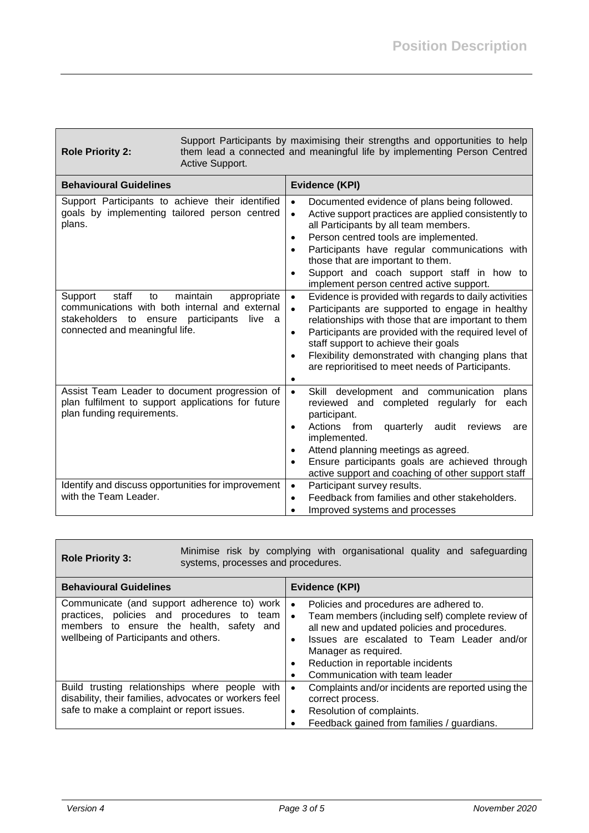| <b>Role Priority 2:</b>                                                                                                                                                                                                                             | Support Participants by maximising their strengths and opportunities to help<br>them lead a connected and meaningful life by implementing Person Centred<br>Active Support. |                                                                                                                                                                                                                                                                                                                                                                                                                                                                                                                                                                                                                                                                                                                                                                                                                                                                        |  |  |
|-----------------------------------------------------------------------------------------------------------------------------------------------------------------------------------------------------------------------------------------------------|-----------------------------------------------------------------------------------------------------------------------------------------------------------------------------|------------------------------------------------------------------------------------------------------------------------------------------------------------------------------------------------------------------------------------------------------------------------------------------------------------------------------------------------------------------------------------------------------------------------------------------------------------------------------------------------------------------------------------------------------------------------------------------------------------------------------------------------------------------------------------------------------------------------------------------------------------------------------------------------------------------------------------------------------------------------|--|--|
| <b>Behavioural Guidelines</b>                                                                                                                                                                                                                       |                                                                                                                                                                             | Evidence (KPI)                                                                                                                                                                                                                                                                                                                                                                                                                                                                                                                                                                                                                                                                                                                                                                                                                                                         |  |  |
| Support Participants to achieve their identified<br>goals by implementing tailored person centred<br>plans.<br>staff<br>Support<br>to<br>communications with both internal and external<br>stakeholders to ensure<br>connected and meaningful life. | maintain<br>appropriate<br>participants<br>live<br>a                                                                                                                        | Documented evidence of plans being followed.<br>$\bullet$<br>Active support practices are applied consistently to<br>$\bullet$<br>all Participants by all team members.<br>Person centred tools are implemented.<br>$\bullet$<br>Participants have regular communications with<br>$\bullet$<br>those that are important to them.<br>Support and coach support staff in how to<br>$\bullet$<br>implement person centred active support.<br>Evidence is provided with regards to daily activities<br>$\bullet$<br>Participants are supported to engage in healthy<br>$\bullet$<br>relationships with those that are important to them<br>Participants are provided with the required level of<br>$\bullet$<br>staff support to achieve their goals<br>Flexibility demonstrated with changing plans that<br>$\bullet$<br>are reprioritised to meet needs of Participants. |  |  |
| Assist Team Leader to document progression of<br>plan fulfilment to support applications for future<br>plan funding requirements.                                                                                                                   |                                                                                                                                                                             | $\bullet$<br>Skill development and communication<br>plans<br>reviewed and completed regularly for<br>each<br>participant.<br>Actions from<br>quarterly<br>audit<br>reviews<br>are<br>$\bullet$<br>implemented.<br>Attend planning meetings as agreed.<br>$\bullet$<br>Ensure participants goals are achieved through                                                                                                                                                                                                                                                                                                                                                                                                                                                                                                                                                   |  |  |
| Identify and discuss opportunities for improvement                                                                                                                                                                                                  |                                                                                                                                                                             | ٠<br>active support and coaching of other support staff<br>Participant survey results.<br>$\bullet$                                                                                                                                                                                                                                                                                                                                                                                                                                                                                                                                                                                                                                                                                                                                                                    |  |  |
| with the Team Leader.                                                                                                                                                                                                                               |                                                                                                                                                                             | Feedback from families and other stakeholders.<br>$\bullet$<br>Improved systems and processes                                                                                                                                                                                                                                                                                                                                                                                                                                                                                                                                                                                                                                                                                                                                                                          |  |  |

**Role Priority 3:** Minimise risk by complying with organisational quality and safeguarding systems, processes and procedures.

| <b>Behavioural Guidelines</b>                                                                                                                                                          | Evidence (KPI)                                                                                                                                                                                                                                                                                                          |
|----------------------------------------------------------------------------------------------------------------------------------------------------------------------------------------|-------------------------------------------------------------------------------------------------------------------------------------------------------------------------------------------------------------------------------------------------------------------------------------------------------------------------|
| Communicate (and support adherence to) work<br>practices, policies and procedures to<br>team<br>members to ensure the health, safety<br>and I<br>wellbeing of Participants and others. | Policies and procedures are adhered to.<br>$\bullet$<br>Team members (including self) complete review of<br>$\bullet$<br>all new and updated policies and procedures.<br>Issues are escalated to Team Leader and/or<br>Manager as required.<br>Reduction in reportable incidents<br>٠<br>Communication with team leader |
| Build trusting relationships where people with<br>disability, their families, advocates or workers feel<br>safe to make a complaint or report issues.                                  | Complaints and/or incidents are reported using the<br>$\bullet$<br>correct process.<br>Resolution of complaints.<br>٠<br>Feedback gained from families / guardians.                                                                                                                                                     |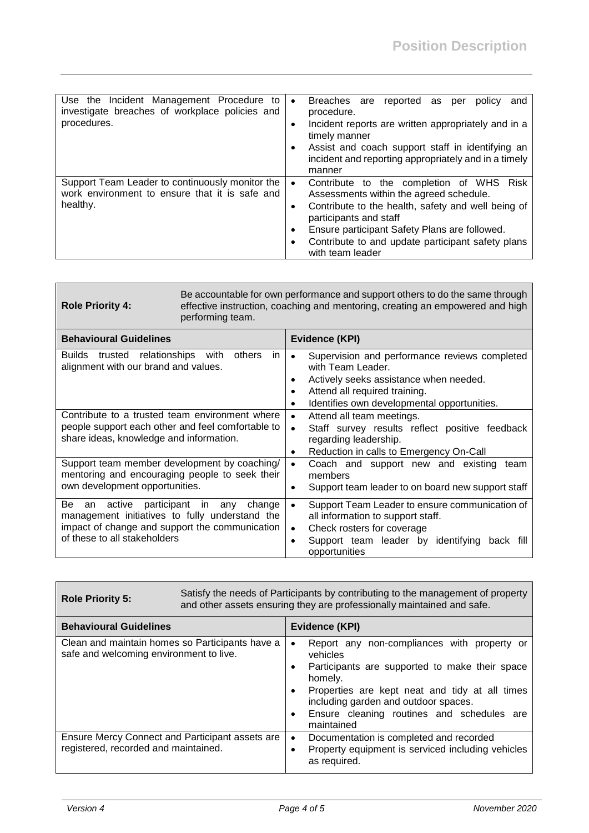| Use the Incident Management Procedure to<br>investigate breaches of workplace policies and<br>procedures.     | Breaches are reported as per<br>policy<br>and<br>$\bullet$<br>procedure.<br>Incident reports are written appropriately and in a<br>٠<br>timely manner<br>Assist and coach support staff in identifying an<br>incident and reporting appropriately and in a timely<br>manner                                |
|---------------------------------------------------------------------------------------------------------------|------------------------------------------------------------------------------------------------------------------------------------------------------------------------------------------------------------------------------------------------------------------------------------------------------------|
| Support Team Leader to continuously monitor the<br>work environment to ensure that it is safe and<br>healthy. | Contribute to the completion of WHS Risk<br>$\bullet$<br>Assessments within the agreed schedule.<br>Contribute to the health, safety and well being of<br>participants and staff<br>Ensure participant Safety Plans are followed.<br>Contribute to and update participant safety plans<br>with team leader |

| <b>Role Priority 4:</b>                                                                                                                                                          | Be accountable for own performance and support others to do the same through<br>effective instruction, coaching and mentoring, creating an empowered and high<br>performing team. |                                                                                                                                                                                                                                                                                                                         |  |
|----------------------------------------------------------------------------------------------------------------------------------------------------------------------------------|-----------------------------------------------------------------------------------------------------------------------------------------------------------------------------------|-------------------------------------------------------------------------------------------------------------------------------------------------------------------------------------------------------------------------------------------------------------------------------------------------------------------------|--|
| <b>Behavioural Guidelines</b>                                                                                                                                                    |                                                                                                                                                                                   | Evidence (KPI)                                                                                                                                                                                                                                                                                                          |  |
| Builds trusted relationships with<br>alignment with our brand and values.<br>Contribute to a trusted team environment where<br>people support each other and feel comfortable to | in<br>others                                                                                                                                                                      | Supervision and performance reviews completed<br>with Team Leader.<br>Actively seeks assistance when needed.<br>٠<br>Attend all required training.<br>Identifies own developmental opportunities.<br>$\bullet$<br>Attend all team meetings.<br>$\bullet$<br>Staff survey results reflect positive feedback<br>$\bullet$ |  |
| share ideas, knowledge and information.                                                                                                                                          |                                                                                                                                                                                   | regarding leadership.<br>Reduction in calls to Emergency On-Call<br>$\bullet$                                                                                                                                                                                                                                           |  |
| Support team member development by coaching/<br>mentoring and encouraging people to seek their<br>own development opportunities.                                                 |                                                                                                                                                                                   | Coach and support new and existing<br>team<br>$\bullet$<br>members<br>Support team leader to on board new support staff                                                                                                                                                                                                 |  |
| Be<br>an active<br>management initiatives to fully understand the<br>impact of change and support the communication<br>of these to all stakeholders                              | participant in<br>any<br>change                                                                                                                                                   | Support Team Leader to ensure communication of<br>$\bullet$<br>all information to support staff.<br>Check rosters for coverage<br>$\bullet$<br>Support team leader by identifying<br>back fill<br>opportunities                                                                                                         |  |

| <b>Role Priority 5:</b>                                                                    | Satisfy the needs of Participants by contributing to the management of property<br>and other assets ensuring they are professionally maintained and safe. |           |                                                                                                                                                                                                                                                                            |
|--------------------------------------------------------------------------------------------|-----------------------------------------------------------------------------------------------------------------------------------------------------------|-----------|----------------------------------------------------------------------------------------------------------------------------------------------------------------------------------------------------------------------------------------------------------------------------|
| <b>Behavioural Guidelines</b>                                                              |                                                                                                                                                           |           | Evidence (KPI)                                                                                                                                                                                                                                                             |
| Clean and maintain homes so Participants have a<br>safe and welcoming environment to live. |                                                                                                                                                           | $\bullet$ | Report any non-compliances with property or<br>vehicles<br>Participants are supported to make their space<br>homely.<br>Properties are kept neat and tidy at all times<br>including garden and outdoor spaces.<br>Ensure cleaning routines and schedules are<br>maintained |
| Ensure Mercy Connect and Participant assets are<br>registered, recorded and maintained.    |                                                                                                                                                           | $\bullet$ | Documentation is completed and recorded<br>Property equipment is serviced including vehicles<br>as required.                                                                                                                                                               |